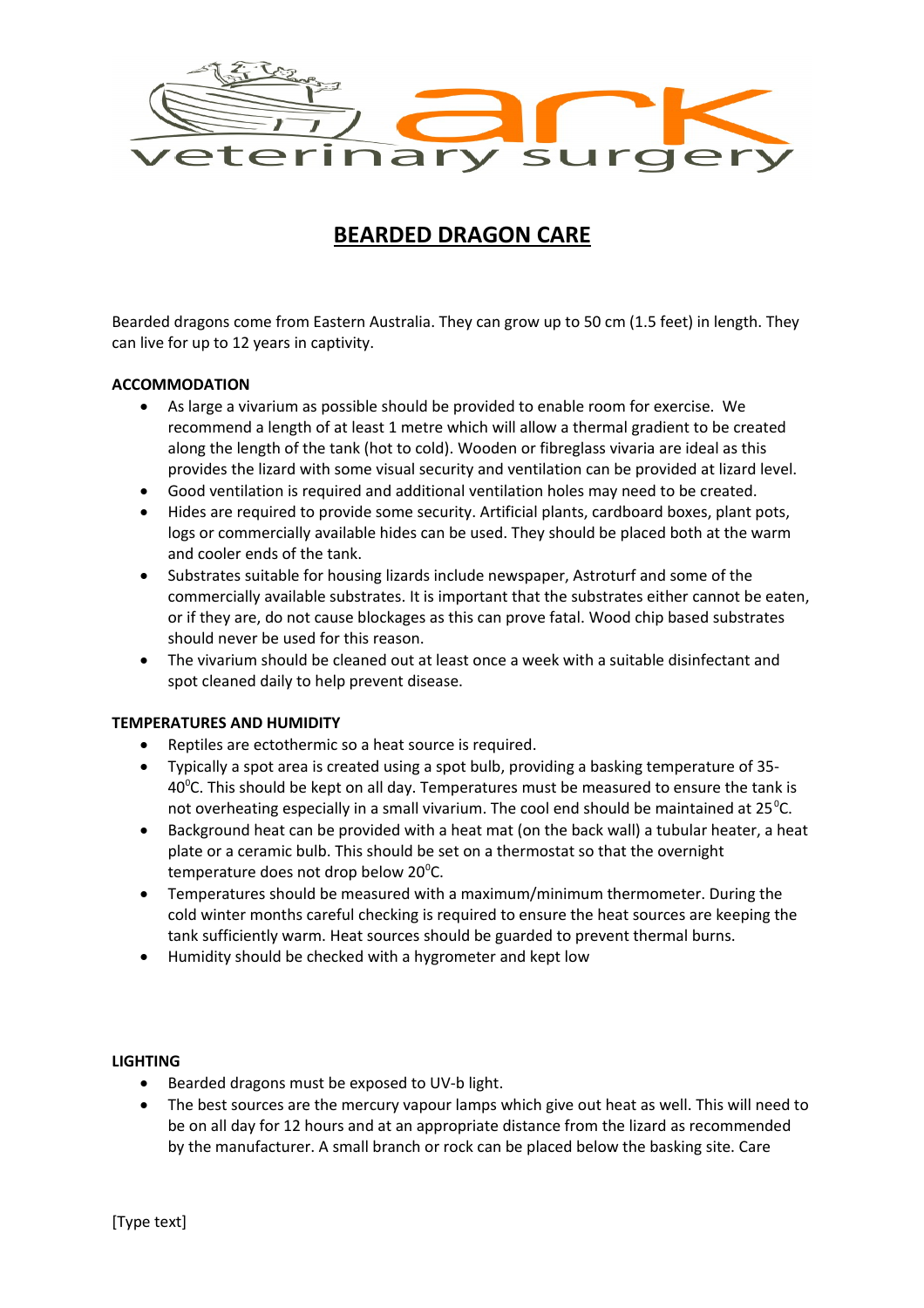

# **BEARDED DRAGON CARE**

Bearded dragons come from Eastern Australia. They can grow up to 50 cm (1.5 feet) in length. They can live for up to 12 years in captivity.

### **ACCOMMODATION**

- As large a vivarium as possible should be provided to enable room for exercise. We recommend a length of at least 1 metre which will allow a thermal gradient to be created along the length of the tank (hot to cold). Wooden or fibreglass vivaria are ideal as this provides the lizard with some visual security and ventilation can be provided at lizard level.
- Good ventilation is required and additional ventilation holes may need to be created.
- Hides are required to provide some security. Artificial plants, cardboard boxes, plant pots, logs or commercially available hides can be used. They should be placed both at the warm and cooler ends of the tank.
- Substrates suitable for housing lizards include newspaper, Astroturf and some of the commercially available substrates. It is important that the substrates either cannot be eaten, or if they are, do not cause blockages as this can prove fatal. Wood chip based substrates should never be used for this reason.
- The vivarium should be cleaned out at least once a week with a suitable disinfectant and spot cleaned daily to help prevent disease.

## **TEMPERATURES AND HUMIDITY**

- Reptiles are ectothermic so a heat source is required.
- Typically a spot area is created using a spot bulb, providing a basking temperature of 35-  $40^{\circ}$ C. This should be kept on all day. Temperatures must be measured to ensure the tank is not overheating especially in a small vivarium. The cool end should be maintained at  $25^{\circ}$ C.
- Background heat can be provided with a heat mat (on the back wall) a tubular heater, a heat plate or a ceramic bulb. This should be set on a thermostat so that the overnight temperature does not drop below 20 $^{\circ}$ C.
- Temperatures should be measured with a maximum/minimum thermometer. During the cold winter months careful checking is required to ensure the heat sources are keeping the tank sufficiently warm. Heat sources should be guarded to prevent thermal burns.
- Humidity should be checked with a hygrometer and kept low

### **LIGHTING**

- Bearded dragons must be exposed to UV-b light.
- The best sources are the mercury vapour lamps which give out heat as well. This will need to be on all day for 12 hours and at an appropriate distance from the lizard as recommended by the manufacturer. A small branch or rock can be placed below the basking site. Care